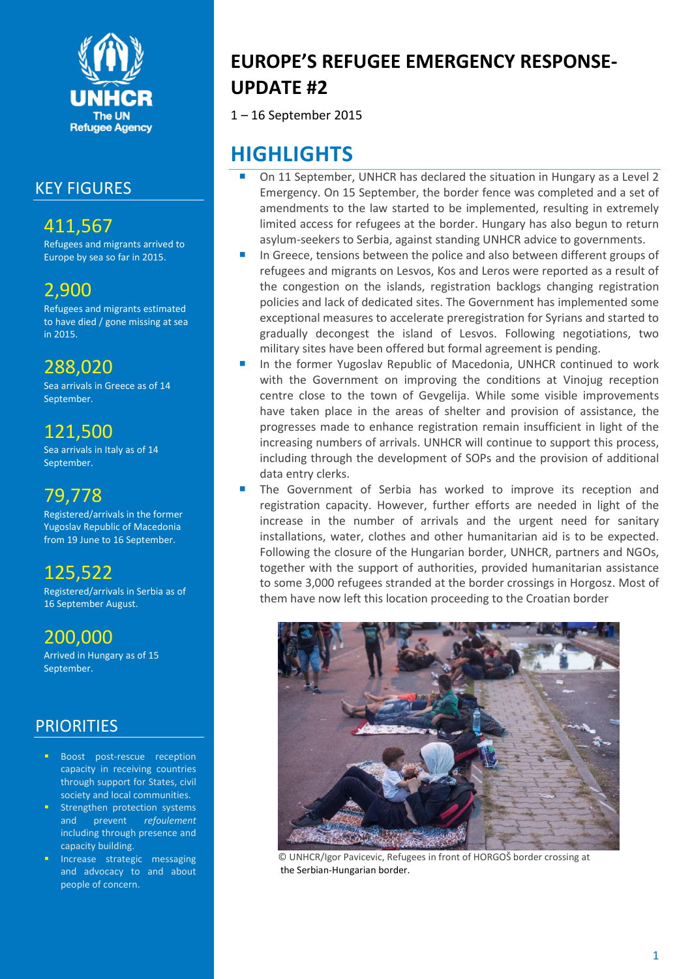

### KEY FIGURES

# 411,567

Refugees and migrants arrived to Europe by sea so far in 2015.

# 2,900

Refugees and migrants estimated to have died / gone missing at sea in 2015.

# 288,020

Sea arrivals in Greece as of 14 September.

## 121,500

Sea arrivals in Italy as of 14 September.

# 79,778

Registered/arrivals in the former Yugoslav Republic of Macedonia from 19 June to 16 September.

# 125,522

Registered/arrivals in Serbia as of 16 September August.

# 200,000

Arrived in Hungary as of 15 September.

### **PRIORITIES**

- Boost post-rescue reception capacity in receiving countries through support for States, civil society and local communities.
- **Strengthen protection systems** and prevent *refoulement* including through presence and capacity building.
- **Increase strategic messaging** and advocacy to and about people of concern.

# **EUROPE'S REFUGEE EMERGENCY RESPONSE-UPDATE #2**

1 – 16 September 2015

# **HIGHLIGHTS**

- On 11 September, UNHCR has declared the situation in Hungary as a Level 2 Emergency. On 15 September, the border fence was completed and a set of amendments to the law started to be implemented, resulting in extremely limited access for refugees at the border. Hungary has also begun to return asylum-seekers to Serbia, against standing UNHCR advice to governments.
- In Greece, tensions between the police and also between different groups of refugees and migrants on Lesvos, Kos and Leros were reported as a result of the congestion on the islands, registration backlogs changing registration policies and lack of dedicated sites. The Government has implemented some exceptional measures to accelerate preregistration for Syrians and started to gradually decongest the island of Lesvos. Following negotiations, two military sites have been offered but formal agreement is pending.
- In the former Yugoslav Republic of Macedonia, UNHCR continued to work with the Government on improving the conditions at Vinojug reception centre close to the town of Gevgelija. While some visible improvements have taken place in the areas of shelter and provision of assistance, the progresses made to enhance registration remain insufficient in light of the increasing numbers of arrivals. UNHCR will continue to support this process, including through the development of SOPs and the provision of additional data entry clerks.
- The Government of Serbia has worked to improve its reception and registration capacity. However, further efforts are needed in light of the increase in the number of arrivals and the urgent need for sanitary installations, water, clothes and other humanitarian aid is to be expected. Following the closure of the Hungarian border, UNHCR, partners and NGOs, together with the support of authorities, provided humanitarian assistance to some 3,000 refugees stranded at the border crossings in Horgosz. Most of them have now left this location proceeding to the Croatian border



 © UNHCR/Igor Pavicevic, Refugees in front of HORGOŠ border crossing at the Serbian-Hungarian border.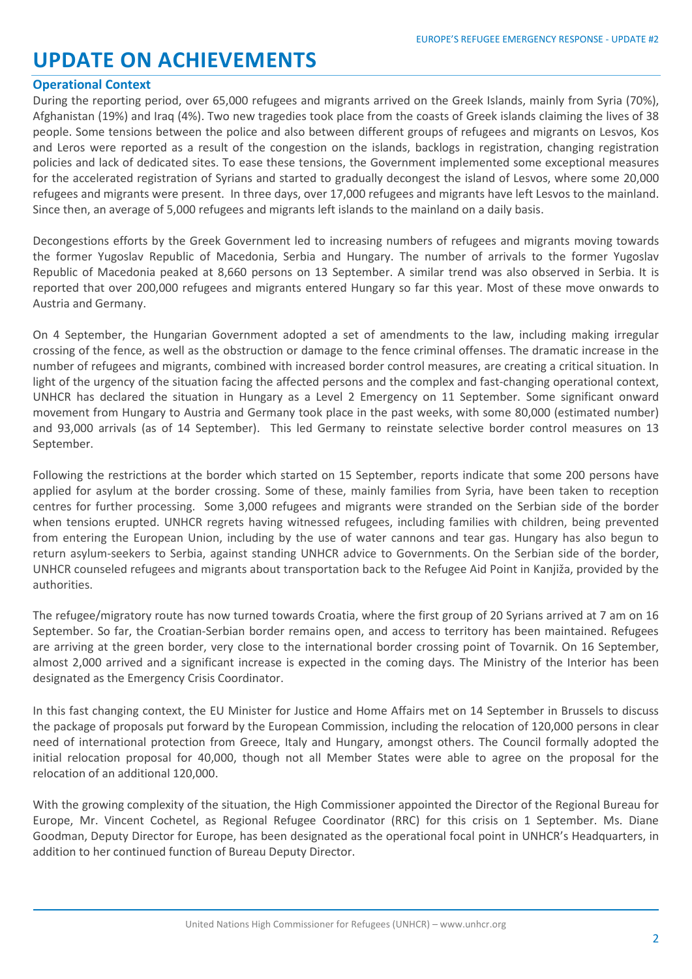# **UPDATE ON ACHIEVEMENTS**

#### **Operational Context**

During the reporting period, over 65,000 refugees and migrants arrived on the Greek Islands, mainly from Syria (70%), Afghanistan (19%) and Iraq (4%). Two new tragedies took place from the coasts of Greek islands claiming the lives of 38 people. Some tensions between the police and also between different groups of refugees and migrants on Lesvos, Kos and Leros were reported as a result of the congestion on the islands, backlogs in registration, changing registration policies and lack of dedicated sites. To ease these tensions, the Government implemented some exceptional measures for the accelerated registration of Syrians and started to gradually decongest the island of Lesvos, where some 20,000 refugees and migrants were present. In three days, over 17,000 refugees and migrants have left Lesvos to the mainland. Since then, an average of 5,000 refugees and migrants left islands to the mainland on a daily basis.

Decongestions efforts by the Greek Government led to increasing numbers of refugees and migrants moving towards the former Yugoslav Republic of Macedonia, Serbia and Hungary. The number of arrivals to the former Yugoslav Republic of Macedonia peaked at 8,660 persons on 13 September. A similar trend was also observed in Serbia. It is reported that over 200,000 refugees and migrants entered Hungary so far this year. Most of these move onwards to Austria and Germany.

On 4 September, the Hungarian Government adopted a set of amendments to the law, including making irregular crossing of the fence, as well as the obstruction or damage to the fence criminal offenses. The dramatic increase in the number of refugees and migrants, combined with increased border control measures, are creating a critical situation. In light of the urgency of the situation facing the affected persons and the complex and fast-changing operational context, UNHCR has declared the situation in Hungary as a Level 2 Emergency on 11 September. Some significant onward movement from Hungary to Austria and Germany took place in the past weeks, with some 80,000 (estimated number) and 93,000 arrivals (as of 14 September). This led Germany to reinstate selective border control measures on 13 September.

Following the restrictions at the border which started on 15 September, reports indicate that some 200 persons have applied for asylum at the border crossing. Some of these, mainly families from Syria, have been taken to reception centres for further processing. Some 3,000 refugees and migrants were stranded on the Serbian side of the border when tensions erupted. UNHCR regrets having witnessed refugees, including families with children, being prevented from entering the European Union, including by the use of water cannons and tear gas. Hungary has also begun to return asylum-seekers to Serbia, against standing UNHCR advice to Governments. On the Serbian side of the border, UNHCR counseled refugees and migrants about transportation back to the Refugee Aid Point in Kanjiža, provided by the authorities.

The refugee/migratory route has now turned towards Croatia, where the first group of 20 Syrians arrived at 7 am on 16 September. So far, the Croatian-Serbian border remains open, and access to territory has been maintained. Refugees are arriving at the green border, very close to the international border crossing point of Tovarnik. On 16 September, almost 2,000 arrived and a significant increase is expected in the coming days. The Ministry of the Interior has been designated as the Emergency Crisis Coordinator.

In this fast changing context, the EU Minister for Justice and Home Affairs met on 14 September in Brussels to discuss the package of proposals put forward by the European Commission, including the relocation of 120,000 persons in clear need of international protection from Greece, Italy and Hungary, amongst others. The Council formally adopted the initial relocation proposal for 40,000, though not all Member States were able to agree on the proposal for the relocation of an additional 120,000.

With the growing complexity of the situation, the High Commissioner appointed the Director of the Regional Bureau for Europe, Mr. Vincent Cochetel, as Regional Refugee Coordinator (RRC) for this crisis on 1 September. Ms. Diane Goodman, Deputy Director for Europe, has been designated as the operational focal point in UNHCR's Headquarters, in addition to her continued function of Bureau Deputy Director.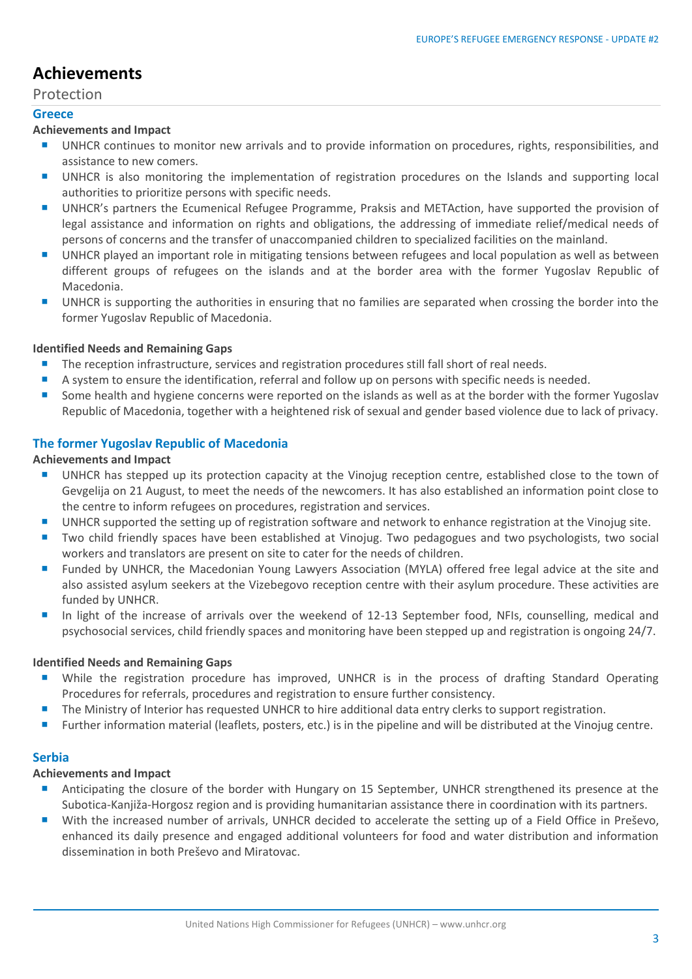## **Achievements**

Protection

#### **Greece**

#### **Achievements and Impact**

- UNHCR continues to monitor new arrivals and to provide information on procedures, rights, responsibilities, and assistance to new comers.
- **UNHCR** is also monitoring the implementation of registration procedures on the Islands and supporting local authorities to prioritize persons with specific needs.
- UNHCR's partners the Ecumenical Refugee Programme, Praksis and METAction, have supported the provision of legal assistance and information on rights and obligations, the addressing of immediate relief/medical needs of persons of concerns and the transfer of unaccompanied children to specialized facilities on the mainland.
- **UNHCR** played an important role in mitigating tensions between refugees and local population as well as between different groups of refugees on the islands and at the border area with the former Yugoslav Republic of Macedonia.
- UNHCR is supporting the authorities in ensuring that no families are separated when crossing the border into the former Yugoslav Republic of Macedonia.

#### **Identified Needs and Remaining Gaps**

- **The reception infrastructure, services and registration procedures still fall short of real needs.**
- A system to ensure the identification, referral and follow up on persons with specific needs is needed.
- Some health and hygiene concerns were reported on the islands as well as at the border with the former Yugoslav Republic of Macedonia, together with a heightened risk of sexual and gender based violence due to lack of privacy.

#### **The former Yugoslav Republic of Macedonia**

#### **Achievements and Impact**

- UNHCR has stepped up its protection capacity at the Vinojug reception centre, established close to the town of Gevgelija on 21 August, to meet the needs of the newcomers. It has also established an information point close to the centre to inform refugees on procedures, registration and services.
- UNHCR supported the setting up of registration software and network to enhance registration at the Vinojug site.
- Two child friendly spaces have been established at Vinojug. Two pedagogues and two psychologists, two social workers and translators are present on site to cater for the needs of children.
- **Funded by UNHCR, the Macedonian Young Lawyers Association (MYLA) offered free legal advice at the site and** also assisted asylum seekers at the Vizebegovo reception centre with their asylum procedure. These activities are funded by UNHCR.
- In light of the increase of arrivals over the weekend of 12-13 September food, NFIs, counselling, medical and psychosocial services, child friendly spaces and monitoring have been stepped up and registration is ongoing 24/7.

#### **Identified Needs and Remaining Gaps**

- While the registration procedure has improved, UNHCR is in the process of drafting Standard Operating Procedures for referrals, procedures and registration to ensure further consistency.
- The Ministry of Interior has requested UNHCR to hire additional data entry clerks to support registration.
- **Further information material (leaflets, posters, etc.) is in the pipeline and will be distributed at the Vinojug centre.**

#### **Serbia**

#### **Achievements and Impact**

- Anticipating the closure of the border with Hungary on 15 September, UNHCR strengthened its presence at the Subotica-Kanjiža-Horgosz region and is providing humanitarian assistance there in coordination with its partners.
- With the increased number of arrivals, UNHCR decided to accelerate the setting up of a Field Office in Preševo, enhanced its daily presence and engaged additional volunteers for food and water distribution and information dissemination in both Preševo and Miratovac.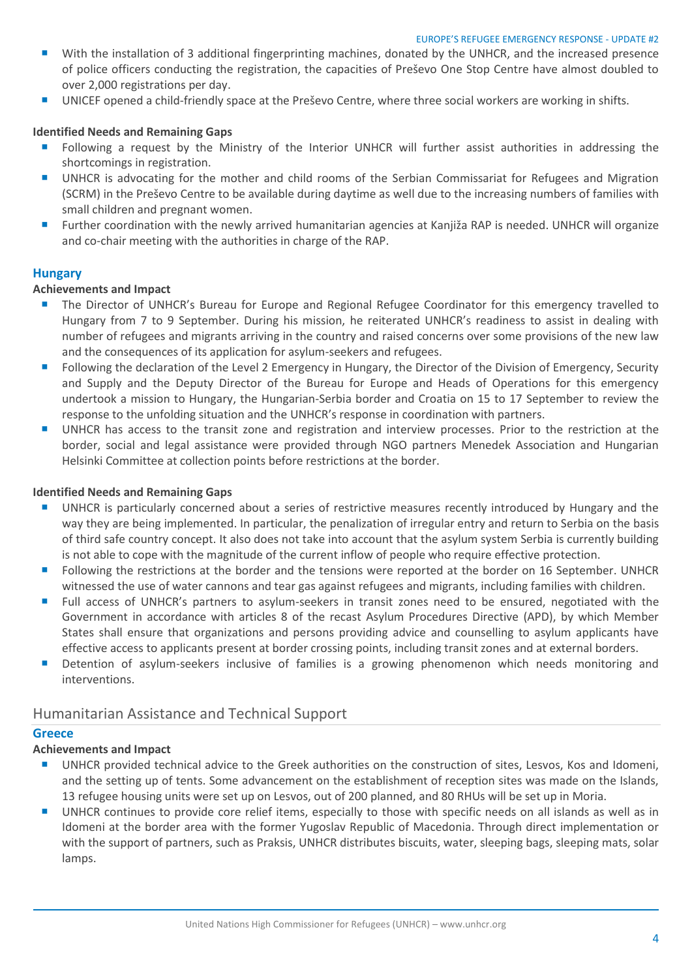- With the installation of 3 additional fingerprinting machines, donated by the UNHCR, and the increased presence of police officers conducting the registration, the capacities of Preševo One Stop Centre have almost doubled to over 2,000 registrations per day.
- UNICEF opened a child-friendly space at the Preševo Centre, where three social workers are working in shifts.

#### **Identified Needs and Remaining Gaps**

- **F** Following a request by the Ministry of the Interior UNHCR will further assist authorities in addressing the shortcomings in registration.
- UNHCR is advocating for the mother and child rooms of the Serbian Commissariat for Refugees and Migration (SCRM) in the Preševo Centre to be available during daytime as well due to the increasing numbers of families with small children and pregnant women.
- **Further coordination with the newly arrived humanitarian agencies at Kanjiža RAP is needed. UNHCR will organize** and co-chair meeting with the authorities in charge of the RAP.

#### **Hungary**

#### **Achievements and Impact**

- **The Director of UNHCR's Bureau for Europe and Regional Refugee Coordinator for this emergency travelled to** Hungary from 7 to 9 September. During his mission, he reiterated UNHCR's readiness to assist in dealing with number of refugees and migrants arriving in the country and raised concerns over some provisions of the new law and the consequences of its application for asylum-seekers and refugees.
- **Following the declaration of the Level 2 Emergency in Hungary, the Director of the Division of Emergency, Security** and Supply and the Deputy Director of the Bureau for Europe and Heads of Operations for this emergency undertook a mission to Hungary, the Hungarian-Serbia border and Croatia on 15 to 17 September to review the response to the unfolding situation and the UNHCR's response in coordination with partners.
- UNHCR has access to the transit zone and registration and interview processes. Prior to the restriction at the border, social and legal assistance were provided through NGO partners Menedek Association and Hungarian Helsinki Committee at collection points before restrictions at the border.

#### **Identified Needs and Remaining Gaps**

- UNHCR is particularly concerned about a series of restrictive measures recently introduced by Hungary and the way they are being implemented. In particular, the penalization of irregular entry and return to Serbia on the basis of third safe country concept. It also does not take into account that the asylum system Serbia is currently building is not able to cope with the magnitude of the current inflow of people who require effective protection.
- **F** Following the restrictions at the border and the tensions were reported at the border on 16 September. UNHCR witnessed the use of water cannons and tear gas against refugees and migrants, including families with children.
- **F** Full access of UNHCR's partners to asylum-seekers in transit zones need to be ensured, negotiated with the Government in accordance with articles 8 of the recast Asylum Procedures Directive (APD), by which Member States shall ensure that organizations and persons providing advice and counselling to asylum applicants have effective access to applicants present at border crossing points, including transit zones and at external borders.
- **Detention of asylum-seekers inclusive of families is a growing phenomenon which needs monitoring and** interventions.

#### Humanitarian Assistance and Technical Support

#### **Greece**

#### **Achievements and Impact**

- UNHCR provided technical advice to the Greek authorities on the construction of sites, Lesvos, Kos and Idomeni, and the setting up of tents. Some advancement on the establishment of reception sites was made on the Islands, 13 refugee housing units were set up on Lesvos, out of 200 planned, and 80 RHUs will be set up in Moria.
- UNHCR continues to provide core relief items, especially to those with specific needs on all islands as well as in Idomeni at the border area with the former Yugoslav Republic of Macedonia. Through direct implementation or with the support of partners, such as Praksis, UNHCR distributes biscuits, water, sleeping bags, sleeping mats, solar lamps.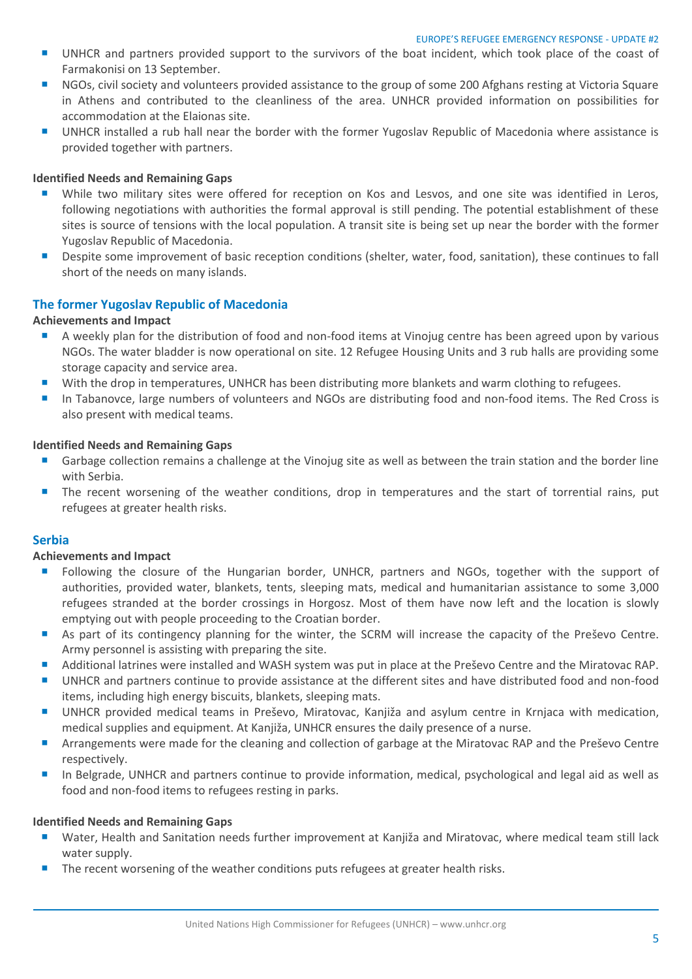- UNHCR and partners provided support to the survivors of the boat incident, which took place of the coast of Farmakonisi on 13 September.
- **NGOs, civil society and volunteers provided assistance to the group of some 200 Afghans resting at Victoria Square** in Athens and contributed to the cleanliness of the area. UNHCR provided information on possibilities for accommodation at the Elaionas site.
- UNHCR installed a rub hall near the border with the former Yugoslav Republic of Macedonia where assistance is provided together with partners.

#### **Identified Needs and Remaining Gaps**

- While two military sites were offered for reception on Kos and Lesvos, and one site was identified in Leros, following negotiations with authorities the formal approval is still pending. The potential establishment of these sites is source of tensions with the local population. A transit site is being set up near the border with the former Yugoslav Republic of Macedonia.
- **Despite some improvement of basic reception conditions (shelter, water, food, sanitation), these continues to fall** short of the needs on many islands.

#### **The former Yugoslav Republic of Macedonia**

#### **Achievements and Impact**

- A weekly plan for the distribution of food and non-food items at Vinojug centre has been agreed upon by various NGOs. The water bladder is now operational on site. 12 Refugee Housing Units and 3 rub halls are providing some storage capacity and service area.
- With the drop in temperatures, UNHCR has been distributing more blankets and warm clothing to refugees.
- In Tabanovce, large numbers of volunteers and NGOs are distributing food and non-food items. The Red Cross is also present with medical teams.

#### **Identified Needs and Remaining Gaps**

- Garbage collection remains a challenge at the Vinojug site as well as between the train station and the border line with Serbia.
- The recent worsening of the weather conditions, drop in temperatures and the start of torrential rains, put refugees at greater health risks.

#### **Serbia**

#### **Achievements and Impact**

- Following the closure of the Hungarian border, UNHCR, partners and NGOs, together with the support of authorities, provided water, blankets, tents, sleeping mats, medical and humanitarian assistance to some 3,000 refugees stranded at the border crossings in Horgosz. Most of them have now left and the location is slowly emptying out with people proceeding to the Croatian border.
- As part of its contingency planning for the winter, the SCRM will increase the capacity of the Preševo Centre. Army personnel is assisting with preparing the site.
- Additional latrines were installed and WASH system was put in place at the Preševo Centre and the Miratovac RAP.
- UNHCR and partners continue to provide assistance at the different sites and have distributed food and non-food items, including high energy biscuits, blankets, sleeping mats.
- UNHCR provided medical teams in Preševo, Miratovac, Kanjiža and asylum centre in Krnjaca with medication, medical supplies and equipment. At Kanjiža, UNHCR ensures the daily presence of a nurse.
- **Arrangements were made for the cleaning and collection of garbage at the Miratovac RAP and the Preševo Centre** respectively.
- In Belgrade, UNHCR and partners continue to provide information, medical, psychological and legal aid as well as food and non-food items to refugees resting in parks.

#### **Identified Needs and Remaining Gaps**

- Water, Health and Sanitation needs further improvement at Kanjiža and Miratovac, where medical team still lack water supply.
- The recent worsening of the weather conditions puts refugees at greater health risks.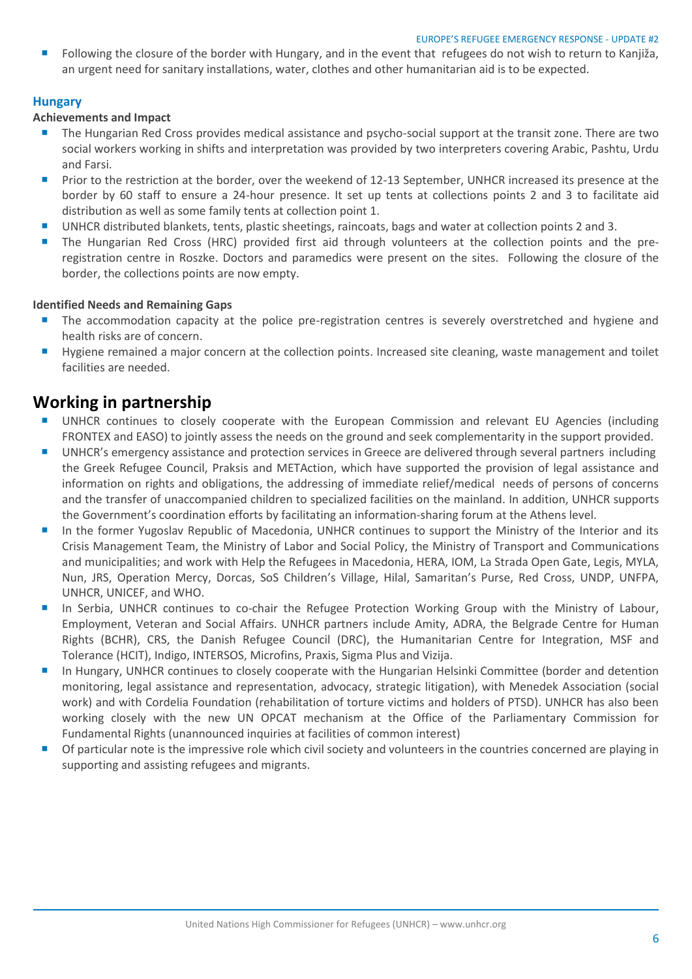**Following the closure of the border with Hungary, and in the event that refugees do not wish to return to Kanjiža,** an urgent need for sanitary installations, water, clothes and other humanitarian aid is to be expected.

#### **Hungary**

#### **Achievements and Impact**

- **The Hungarian Red Cross provides medical assistance and psycho-social support at the transit zone. There are two** social workers working in shifts and interpretation was provided by two interpreters covering Arabic, Pashtu, Urdu and Farsi.
- Prior to the restriction at the border, over the weekend of 12-13 September, UNHCR increased its presence at the border by 60 staff to ensure a 24-hour presence. It set up tents at collections points 2 and 3 to facilitate aid distribution as well as some family tents at collection point 1.
- UNHCR distributed blankets, tents, plastic sheetings, raincoats, bags and water at collection points 2 and 3.
- The Hungarian Red Cross (HRC) provided first aid through volunteers at the collection points and the preregistration centre in Roszke. Doctors and paramedics were present on the sites. Following the closure of the border, the collections points are now empty.

#### **Identified Needs and Remaining Gaps**

- The accommodation capacity at the police pre-registration centres is severely overstretched and hygiene and health risks are of concern.
- **Hygiene remained a major concern at the collection points. Increased site cleaning, waste management and toilet** facilities are needed.

### **Working in partnership**

- UNHCR continues to closely cooperate with the European Commission and relevant EU Agencies (including FRONTEX and EASO) to jointly assess the needs on the ground and seek complementarity in the support provided.
- **UNHCR's emergency assistance and protection services in Greece are delivered through several partners including** the Greek Refugee Council, Praksis and METAction, which have supported the provision of legal assistance and information on rights and obligations, the addressing of immediate relief/medical needs of persons of concerns and the transfer of unaccompanied children to specialized facilities on the mainland. In addition, UNHCR supports the Government's coordination efforts by facilitating an information-sharing forum at the Athens level.
- In the former Yugoslav Republic of Macedonia, UNHCR continues to support the Ministry of the Interior and its Crisis Management Team, the Ministry of Labor and Social Policy, the Ministry of Transport and Communications and municipalities; and work with Help the Refugees in Macedonia, HERA, IOM, La Strada Open Gate, Legis, MYLA, Nun, JRS, Operation Mercy, Dorcas, SoS Children's Village, Hilal, Samaritan's Purse, Red Cross, UNDP, UNFPA, UNHCR, UNICEF, and WHO.
- In Serbia, UNHCR continues to co-chair the Refugee Protection Working Group with the Ministry of Labour, Employment, Veteran and Social Affairs. UNHCR partners include Amity, ADRA, the Belgrade Centre for Human Rights (BCHR), CRS, the Danish Refugee Council (DRC), the Humanitarian Centre for Integration, MSF and Tolerance (HCIT), Indigo, INTERSOS, Microfins, Praxis, Sigma Plus and Vizija.
- In Hungary, UNHCR continues to closely cooperate with the Hungarian Helsinki Committee (border and detention monitoring, legal assistance and representation, advocacy, strategic litigation), with Menedek Association (social work) and with Cordelia Foundation (rehabilitation of torture victims and holders of PTSD). UNHCR has also been working closely with the new UN OPCAT mechanism at the Office of the Parliamentary Commission for Fundamental Rights (unannounced inquiries at facilities of common interest)
- **Of particular note is the impressive role which civil society and volunteers in the countries concerned are playing in** supporting and assisting refugees and migrants.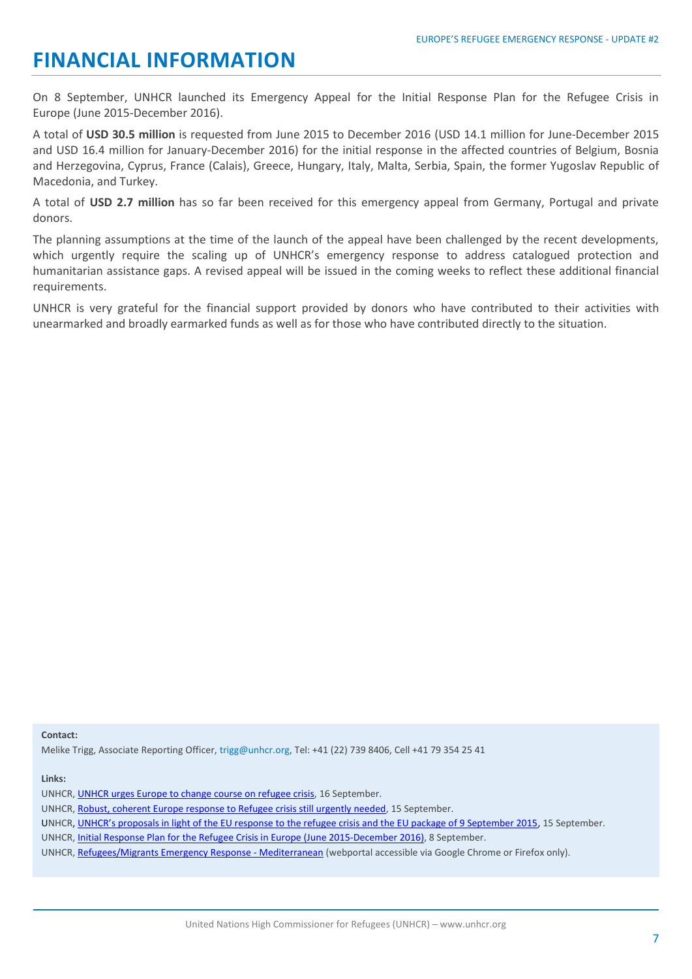# **FINANCIAL INFORMATION**

On 8 September, UNHCR launched its Emergency Appeal for the Initial Response Plan for the Refugee Crisis in Europe (June 2015-December 2016).

A total of **USD 30.5 million** is requested from June 2015 to December 2016 (USD 14.1 million for June-December 2015 and USD 16.4 million for January-December 2016) for the initial response in the affected countries of Belgium, Bosnia and Herzegovina, Cyprus, France (Calais), Greece, Hungary, Italy, Malta, Serbia, Spain, the former Yugoslav Republic of Macedonia, and Turkey.

A total of **USD 2.7 million** has so far been received for this emergency appeal from Germany, Portugal and private donors.

The planning assumptions at the time of the launch of the appeal have been challenged by the recent developments, which urgently require the scaling up of UNHCR's emergency response to address catalogued protection and humanitarian assistance gaps. A revised appeal will be issued in the coming weeks to reflect these additional financial requirements.

UNHCR is very grateful for the financial support provided by donors who have contributed to their activities with unearmarked and broadly earmarked funds as well as for those who have contributed directly to the situation.

**Contact:**

Melike Trigg, Associate Reporting Officer, trigg@unhcr.org, Tel: +41 (22) 739 8406, Cell +41 79 354 25 41

**Links:**

UNHCR, [Initial Response Plan for the Refugee Crisis in Europe \(June 2015-December 2016\),](http://www.unhcr.org/55ee99880.html) 8 September.

UNHCR, [UNHCR urges Europe to change](http://media.unhcr.org/C.aspx?VP3=SearchResult&VBID=2CZ7RTEU69H) course on refugee crisis, 16 September.

UNHCR, [Robust, coherent Europe response to Refugee crisis still urgently needed,](http://www.unhcr.org/55f817399.html) 15 September.

UNHCR, [UNHCR's proposals in light of the EU response to the refugee crisis and the EU package of 9 September 2015](http://media.unhcr.org/C.aspx?VP3=SearchResult&VBID=2CZ7RTEU69H), 15 September.

UNHCR, [Refugees/Migrants Emergency Response -](http://data.unhcr.org/mediterranean/search.php) Mediterranean (webportal accessible via Google Chrome or Firefox only).